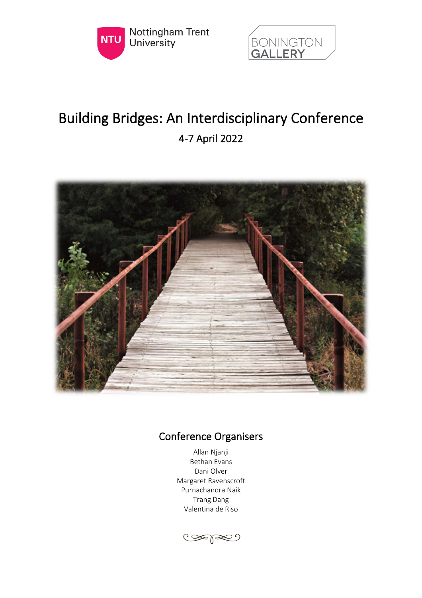



# Building Bridges: An Interdisciplinary Conference 4-7 April 2022



# Conference Organisers

Allan Njanji Bethan Evans Dani Olver Margaret Ravenscroft Purnachandra Naik Trang Dang Valentina de Riso

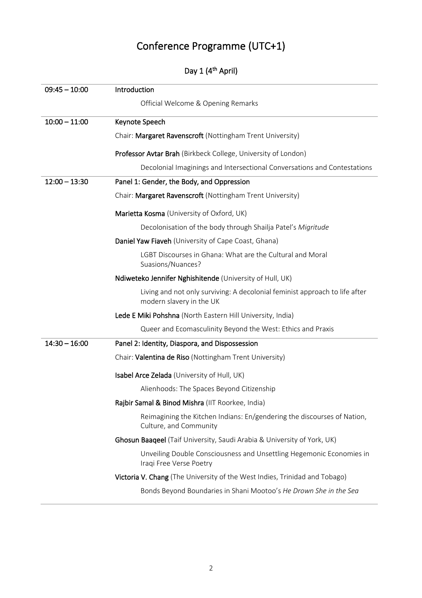# Conference Programme (UTC+1)

|  |  |  | Day 1 (4 <sup>th</sup> April) |  |
|--|--|--|-------------------------------|--|
|--|--|--|-------------------------------|--|

| $09:45 - 10:00$ | Introduction                                                                                            |
|-----------------|---------------------------------------------------------------------------------------------------------|
|                 | Official Welcome & Opening Remarks                                                                      |
| $10:00 - 11:00$ | Keynote Speech                                                                                          |
|                 | Chair: Margaret Ravenscroft (Nottingham Trent University)                                               |
|                 | Professor Avtar Brah (Birkbeck College, University of London)                                           |
|                 | Decolonial Imaginings and Intersectional Conversations and Contestations                                |
| $12:00 - 13:30$ | Panel 1: Gender, the Body, and Oppression                                                               |
|                 | Chair: Margaret Ravenscroft (Nottingham Trent University)                                               |
|                 | Marietta Kosma (University of Oxford, UK)                                                               |
|                 | Decolonisation of the body through Shailja Patel's Migritude                                            |
|                 | Daniel Yaw Fiaveh (University of Cape Coast, Ghana)                                                     |
|                 | LGBT Discourses in Ghana: What are the Cultural and Moral<br>Suasions/Nuances?                          |
|                 | Ndiweteko Jennifer Nghishitende (University of Hull, UK)                                                |
|                 | Living and not only surviving: A decolonial feminist approach to life after<br>modern slavery in the UK |
|                 | Lede E Miki Pohshna (North Eastern Hill University, India)                                              |
|                 | Queer and Ecomasculinity Beyond the West: Ethics and Praxis                                             |
| $14:30 - 16:00$ | Panel 2: Identity, Diaspora, and Dispossession                                                          |
|                 | Chair: Valentina de Riso (Nottingham Trent University)                                                  |
|                 | Isabel Arce Zelada (University of Hull, UK)                                                             |
|                 | Alienhoods: The Spaces Beyond Citizenship                                                               |
|                 | Rajbir Samal & Binod Mishra (IIT Roorkee, India)                                                        |
|                 | Reimagining the Kitchen Indians: En/gendering the discourses of Nation,<br>Culture, and Community       |
|                 | Ghosun Baaqeel (Taif University, Saudi Arabia & University of York, UK)                                 |
|                 | Unveiling Double Consciousness and Unsettling Hegemonic Economies in<br>Iraqi Free Verse Poetry         |
|                 | Victoria V. Chang (The University of the West Indies, Trinidad and Tobago)                              |
|                 | Bonds Beyond Boundaries in Shani Mootoo's He Drown She in the Sea                                       |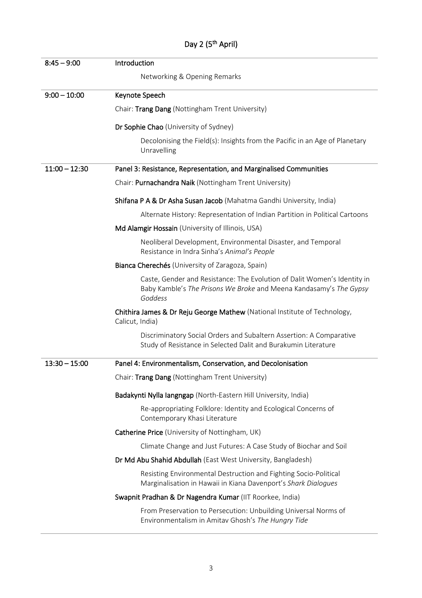| $8:45 - 9:00$   | Introduction                                                                                                                                              |
|-----------------|-----------------------------------------------------------------------------------------------------------------------------------------------------------|
|                 | Networking & Opening Remarks                                                                                                                              |
| $9:00 - 10:00$  | Keynote Speech                                                                                                                                            |
|                 | Chair: Trang Dang (Nottingham Trent University)                                                                                                           |
|                 | Dr Sophie Chao (University of Sydney)                                                                                                                     |
|                 | Decolonising the Field(s): Insights from the Pacific in an Age of Planetary<br>Unravelling                                                                |
| $11:00 - 12:30$ | Panel 3: Resistance, Representation, and Marginalised Communities                                                                                         |
|                 | Chair: Purnachandra Naik (Nottingham Trent University)                                                                                                    |
|                 | Shifana P A & Dr Asha Susan Jacob (Mahatma Gandhi University, India)                                                                                      |
|                 | Alternate History: Representation of Indian Partition in Political Cartoons                                                                               |
|                 | Md Alamgir Hossain (University of Illinois, USA)                                                                                                          |
|                 | Neoliberal Development, Environmental Disaster, and Temporal<br>Resistance in Indra Sinha's Animal's People                                               |
|                 | Bianca Cherechés (University of Zaragoza, Spain)                                                                                                          |
|                 | Caste, Gender and Resistance: The Evolution of Dalit Women's Identity in<br>Baby Kamble's The Prisons We Broke and Meena Kandasamy's The Gypsy<br>Goddess |
|                 | Chithira James & Dr Reju George Mathew (National Institute of Technology,<br>Calicut, India)                                                              |
|                 | Discriminatory Social Orders and Subaltern Assertion: A Comparative<br>Study of Resistance in Selected Dalit and Burakumin Literature                     |
| $13:30 - 15:00$ | Panel 4: Environmentalism, Conservation, and Decolonisation                                                                                               |
|                 | Chair: Trang Dang (Nottingham Trent University)                                                                                                           |
|                 | Badakynti Nylla langngap (North-Eastern Hill University, India)                                                                                           |
|                 | Re-appropriating Folklore: Identity and Ecological Concerns of<br>Contemporary Khasi Literature                                                           |
|                 | Catherine Price (University of Nottingham, UK)                                                                                                            |
|                 | Climate Change and Just Futures: A Case Study of Biochar and Soil                                                                                         |
|                 | Dr Md Abu Shahid Abdullah (East West University, Bangladesh)                                                                                              |
|                 | Resisting Environmental Destruction and Fighting Socio-Political<br>Marginalisation in Hawaii in Kiana Davenport's Shark Dialogues                        |
|                 | Swapnit Pradhan & Dr Nagendra Kumar (IIT Roorkee, India)                                                                                                  |
|                 | From Preservation to Persecution: Unbuilding Universal Norms of<br>Environmentalism in Amitav Ghosh's The Hungry Tide                                     |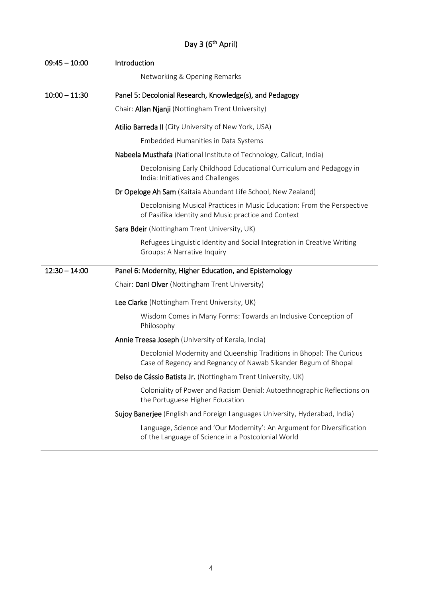| $09:45 - 10:00$ | Introduction                                                                                                                           |
|-----------------|----------------------------------------------------------------------------------------------------------------------------------------|
|                 |                                                                                                                                        |
|                 | Networking & Opening Remarks                                                                                                           |
| $10:00 - 11:30$ | Panel 5: Decolonial Research, Knowledge(s), and Pedagogy                                                                               |
|                 | Chair: Allan Njanji (Nottingham Trent University)                                                                                      |
|                 | Atilio Barreda II (City University of New York, USA)                                                                                   |
|                 | Embedded Humanities in Data Systems                                                                                                    |
|                 | Nabeela Musthafa (National Institute of Technology, Calicut, India)                                                                    |
|                 | Decolonising Early Childhood Educational Curriculum and Pedagogy in<br>India: Initiatives and Challenges                               |
|                 | Dr Opeloge Ah Sam (Kaitaia Abundant Life School, New Zealand)                                                                          |
|                 | Decolonising Musical Practices in Music Education: From the Perspective<br>of Pasifika Identity and Music practice and Context         |
|                 | Sara Bdeir (Nottingham Trent University, UK)                                                                                           |
|                 | Refugees Linguistic Identity and Social Integration in Creative Writing<br>Groups: A Narrative Inquiry                                 |
| $12:30 - 14:00$ | Panel 6: Modernity, Higher Education, and Epistemology                                                                                 |
|                 | Chair: Dani Olver (Nottingham Trent University)                                                                                        |
|                 | Lee Clarke (Nottingham Trent University, UK)                                                                                           |
|                 | Wisdom Comes in Many Forms: Towards an Inclusive Conception of<br>Philosophy                                                           |
|                 | Annie Treesa Joseph (University of Kerala, India)                                                                                      |
|                 | Decolonial Modernity and Queenship Traditions in Bhopal: The Curious<br>Case of Regency and Regnancy of Nawab Sikander Begum of Bhopal |
|                 | Delso de Cássio Batista Jr. (Nottingham Trent University, UK)                                                                          |
|                 | Coloniality of Power and Racism Denial: Autoethnographic Reflections on<br>the Portuguese Higher Education                             |
|                 | Sujoy Banerjee (English and Foreign Languages University, Hyderabad, India)                                                            |
|                 | Language, Science and 'Our Modernity': An Argument for Diversification<br>of the Language of Science in a Postcolonial World           |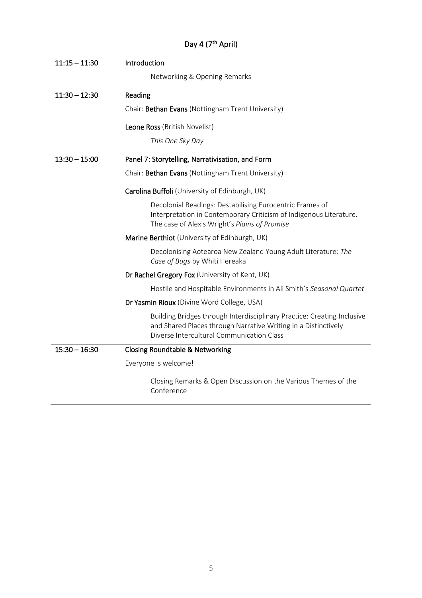| $11:15 - 11:30$ | Introduction                                                                                                                                                                           |
|-----------------|----------------------------------------------------------------------------------------------------------------------------------------------------------------------------------------|
|                 | Networking & Opening Remarks                                                                                                                                                           |
| $11:30 - 12:30$ | Reading                                                                                                                                                                                |
|                 | Chair: Bethan Evans (Nottingham Trent University)                                                                                                                                      |
|                 | Leone Ross (British Novelist)                                                                                                                                                          |
|                 | This One Sky Day                                                                                                                                                                       |
| $13:30 - 15:00$ | Panel 7: Storytelling, Narrativisation, and Form                                                                                                                                       |
|                 | Chair: Bethan Evans (Nottingham Trent University)                                                                                                                                      |
|                 | Carolina Buffoli (University of Edinburgh, UK)                                                                                                                                         |
|                 | Decolonial Readings: Destabilising Eurocentric Frames of<br>Interpretation in Contemporary Criticism of Indigenous Literature.<br>The case of Alexis Wright's Plains of Promise        |
|                 | Marine Berthiot (University of Edinburgh, UK)                                                                                                                                          |
|                 | Decolonising Aotearoa New Zealand Young Adult Literature: The<br>Case of Bugs by Whiti Hereaka                                                                                         |
|                 | Dr Rachel Gregory Fox (University of Kent, UK)                                                                                                                                         |
|                 | Hostile and Hospitable Environments in Ali Smith's Seasonal Quartet                                                                                                                    |
|                 | Dr Yasmin Rioux (Divine Word College, USA)                                                                                                                                             |
|                 | Building Bridges through Interdisciplinary Practice: Creating Inclusive<br>and Shared Places through Narrative Writing in a Distinctively<br>Diverse Intercultural Communication Class |
| $15:30 - 16:30$ | <b>Closing Roundtable &amp; Networking</b>                                                                                                                                             |
|                 | Everyone is welcome!                                                                                                                                                                   |
|                 | Closing Remarks & Open Discussion on the Various Themes of the<br>Conference                                                                                                           |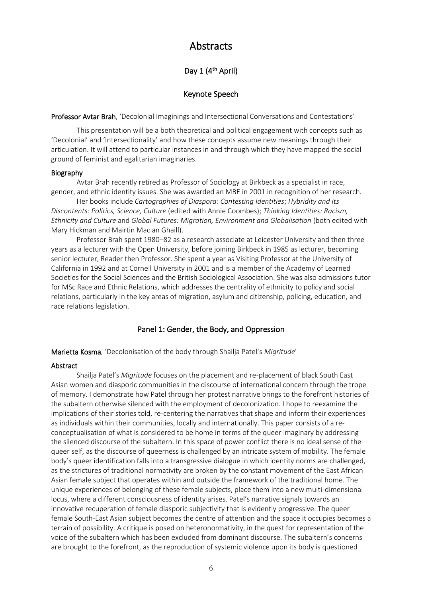# Abstracts

# Day 1 (4<sup>th</sup> April)

# Keynote Speech

Professor Avtar Brah, 'Decolonial Imaginings and Intersectional Conversations and Contestations'

This presentation will be a both theoretical and political engagement with concepts such as 'Decolonial' and 'Intersectionality' and how these concepts assume new meanings through their articulation. It will attend to particular instances in and through which they have mapped the social ground of feminist and egalitarian imaginaries.

#### Biography

Avtar Brah recently retired as Professor of Sociology at Birkbeck as a specialist in race, gender, and ethnic identity issues. She was awarded an MBE in 2001 in recognition of her research.

Her books include *Cartographies of Diaspora: Contesting Identities*; *Hybridity and Its Discontents: Politics, Science, Culture* (edited with Annie Coombes); *Thinking Identities: Racism, Ethnicity and Culture* and *Global Futures: Migration, Environment and Globalisation* (both edited with Mary Hickman and Mairtin Mac an Ghaill).

Professor Brah spent 1980–82 as a research associate at Leicester University and then three years as a lecturer with the Open University, before joining Birkbeck in 1985 as lecturer, becoming senior lecturer, Reader then Professor. She spent a year as Visiting Professor at the University of California in 1992 and at Cornell University in 2001 and is a member of the Academy of Learned Societies for the Social Sciences and the British Sociological Association. She was also admissions tutor for MSc Race and Ethnic Relations, which addresses the centrality of ethnicity to policy and social relations, particularly in the key areas of migration, asylum and citizenship, policing, education, and race relations legislation.

# Panel 1: Gender, the Body, and Oppression

Marietta Kosma, 'Decolonisation of the body through Shailja Patel's *Migritude*'

# Abstract

Shailja Patel's *Migritude* focuses on the placement and re-placement of black South East Asian women and diasporic communities in the discourse of international concern through the trope of memory. I demonstrate how Patel through her protest narrative brings to the forefront histories of the subaltern otherwise silenced with the employment of decolonization. I hope to reexamine the implications of their stories told, re-centering the narratives that shape and inform their experiences as individuals within their communities, locally and internationally. This paper consists of a reconceptualisation of what is considered to be home in terms of the queer imaginary by addressing the silenced discourse of the subaltern. In this space of power conflict there is no ideal sense of the queer self, as the discourse of queerness is challenged by an intricate system of mobility. The female body's queer identification falls into a transgressive dialogue in which identity norms are challenged, as the strictures of traditional normativity are broken by the constant movement of the East African Asian female subject that operates within and outside the framework of the traditional home. The unique experiences of belonging of these female subjects, place them into a new multi-dimensional locus, where a different consciousness of identity arises. Patel's narrative signals towards an innovative recuperation of female diasporic subjectivity that is evidently progressive. The queer female South-East Asian subject becomes the centre of attention and the space it occupies becomes a terrain of possibility. A critique is posed on heteronormativity, in the quest for representation of the voice of the subaltern which has been excluded from dominant discourse. The subaltern's concerns are brought to the forefront, as the reproduction of systemic violence upon its body is questioned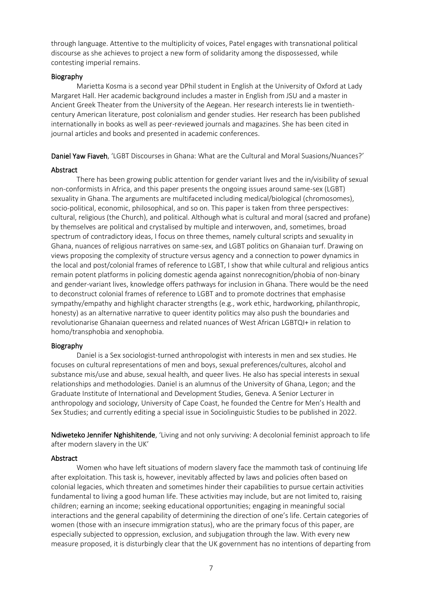through language. Attentive to the multiplicity of voices, Patel engages with transnational political discourse as she achieves to project a new form of solidarity among the dispossessed, while contesting imperial remains.

#### Biography

Marietta Kosma is a second year DPhil student in English at the University of Oxford at Lady Margaret Hall. Her academic background includes a master in English from JSU and a master in Ancient Greek Theater from the University of the Aegean. Her research interests lie in twentiethcentury American literature, post colonialism and gender studies. Her research has been published internationally in books as well as peer-reviewed journals and magazines. She has been cited in journal articles and books and presented in academic conferences.

Daniel Yaw Fiaveh, 'LGBT Discourses in Ghana: What are the Cultural and Moral Suasions/Nuances?'

#### Abstract

There has been growing public attention for gender variant lives and the in/visibility of sexual non-conformists in Africa, and this paper presents the ongoing issues around same-sex (LGBT) sexuality in Ghana. The arguments are multifaceted including medical/biological (chromosomes), socio-political, economic, philosophical, and so on. This paper is taken from three perspectives: cultural, religious (the Church), and political. Although what is cultural and moral (sacred and profane) by themselves are political and crystalised by multiple and interwoven, and, sometimes, broad spectrum of contradictory ideas, I focus on three themes, namely cultural scripts and sexuality in Ghana, nuances of religious narratives on same-sex, and LGBT politics on Ghanaian turf. Drawing on views proposing the complexity of structure versus agency and a connection to power dynamics in the local and post/colonial frames of reference to LGBT, I show that while cultural and religious antics remain potent platforms in policing domestic agenda against nonrecognition/phobia of non-binary and gender-variant lives, knowledge offers pathways for inclusion in Ghana. There would be the need to deconstruct colonial frames of reference to LGBT and to promote doctrines that emphasise sympathy/empathy and highlight character strengths (e.g., work ethic, hardworking, philanthropic, honesty) as an alternative narrative to queer identity politics may also push the boundaries and revolutionarise Ghanaian queerness and related nuances of West African LGBTQI+ in relation to homo/transphobia and xenophobia.

#### Biography

Daniel is a Sex sociologist-turned anthropologist with interests in men and sex studies. He focuses on cultural representations of men and boys, sexual preferences/cultures, alcohol and substance mis/use and abuse, sexual health, and queer lives. He also has special interests in sexual relationships and methodologies. Daniel is an alumnus of the University of Ghana, Legon; and the Graduate Institute of International and Development Studies, Geneva. A Senior Lecturer in anthropology and sociology, University of Cape Coast, he founded the Centre for Men's Health and Sex Studies; and currently editing a special issue in Sociolinguistic Studies to be published in 2022.

Ndiweteko Jennifer Nghishitende, 'Living and not only surviving: A decolonial feminist approach to life after modern slavery in the UK'

#### Abstract

Women who have left situations of modern slavery face the mammoth task of continuing life after exploitation. This task is, however, inevitably affected by laws and policies often based on colonial legacies, which threaten and sometimes hinder their capabilities to pursue certain activities fundamental to living a good human life. These activities may include, but are not limited to, raising children; earning an income; seeking educational opportunities; engaging in meaningful social interactions and the general capability of determining the direction of one's life. Certain categories of women (those with an insecure immigration status), who are the primary focus of this paper, are especially subjected to oppression, exclusion, and subjugation through the law. With every new measure proposed, it is disturbingly clear that the UK government has no intentions of departing from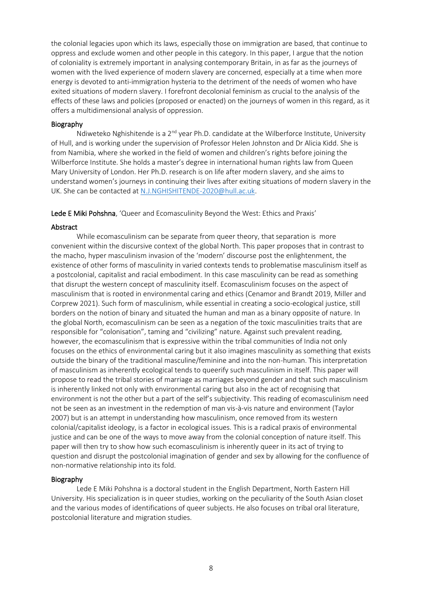the colonial legacies upon which its laws, especially those on immigration are based, that continue to oppress and exclude women and other people in this category. In this paper, I argue that the notion of coloniality is extremely important in analysing contemporary Britain, in as far as the journeys of women with the lived experience of modern slavery are concerned, especially at a time when more energy is devoted to anti-immigration hysteria to the detriment of the needs of women who have exited situations of modern slavery. I forefront decolonial feminism as crucial to the analysis of the effects of these laws and policies (proposed or enacted) on the journeys of women in this regard, as it offers a multidimensional analysis of oppression.

#### Biography

Ndiweteko Nghishitende is a 2<sup>nd</sup> year Ph.D. candidate at the Wilberforce Institute, University of Hull, and is working under the supervision of Professor Helen Johnston and Dr Alicia Kidd. She is from Namibia, where she worked in the field of women and children's rights before joining the Wilberforce Institute. She holds a master's degree in international human rights law from Queen Mary University of London. Her Ph.D. research is on life after modern slavery, and she aims to understand women's journeys in continuing their lives after exiting situations of modern slavery in the UK. She can be contacted at [N.J.NGHISHITENDE-2020@hull.ac.uk.](mailto:N.J.NGHISHITENDE-2020@hull.ac.uk)

Lede E Miki Pohshna, 'Queer and Ecomasculinity Beyond the West: Ethics and Praxis'

#### Abstract

While ecomasculinism can be separate from queer theory, that separation is more convenient within the discursive context of the global North. This paper proposes that in contrast to the macho, hyper masculinism invasion of the 'modern' discourse post the enlightenment, the existence of other forms of masculinity in varied contexts tends to problematise masculinism itself as a postcolonial, capitalist and racial embodiment. In this case masculinity can be read as something that disrupt the western concept of masculinity itself. Ecomasculinism focuses on the aspect of masculinism that is rooted in environmental caring and ethics (Cenamor and Brandt 2019, Miller and Corprew 2021). Such form of masculinism, while essential in creating a socio-ecological justice, still borders on the notion of binary and situated the human and man as a binary opposite of nature. In the global North, ecomasculinism can be seen as a negation of the toxic masculinities traits that are responsible for "colonisation", taming and "civilizing" nature. Against such prevalent reading, however, the ecomasculinism that is expressive within the tribal communities of India not only focuses on the ethics of environmental caring but it also imagines masculinity as something that exists outside the binary of the traditional masculine/feminine and into the non-human. This interpretation of masculinism as inherently ecological tends to queerify such masculinism in itself. This paper will propose to read the tribal stories of marriage as marriages beyond gender and that such masculinism is inherently linked not only with environmental caring but also in the act of recognising that environment is not the other but a part of the self's subjectivity. This reading of ecomasculinism need not be seen as an investment in the redemption of man vis-à-vis nature and environment (Taylor 2007) but is an attempt in understanding how masculinism, once removed from its western colonial/capitalist ideology, is a factor in ecological issues. This is a radical praxis of environmental justice and can be one of the ways to move away from the colonial conception of nature itself. This paper will then try to show how such ecomasculinism is inherently queer in its act of trying to question and disrupt the postcolonial imagination of gender and sex by allowing for the confluence of non-normative relationship into its fold.

#### Biography

Lede E Miki Pohshna is a doctoral student in the English Department, North Eastern Hill University. His specialization is in queer studies, working on the peculiarity of the South Asian closet and the various modes of identifications of queer subjects. He also focuses on tribal oral literature, postcolonial literature and migration studies.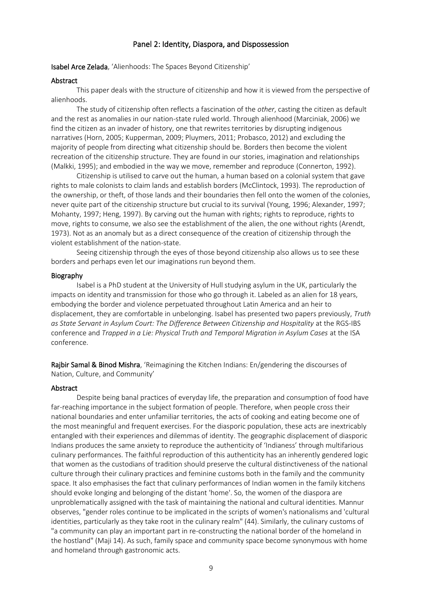# Panel 2: Identity, Diaspora, and Dispossession

Isabel Arce Zelada, 'Alienhoods: The Spaces Beyond Citizenship'

#### Abstract

This paper deals with the structure of citizenship and how it is viewed from the perspective of alienhoods.

The study of citizenship often reflects a fascination of the *other*, casting the citizen as default and the rest as anomalies in our nation-state ruled world. Through alienhood (Marciniak, 2006) we find the citizen as an invader of history, one that rewrites territories by disrupting indigenous narratives (Horn, 2005; Kupperman, 2009; Pluymers, 2011; Probasco, 2012) and excluding the majority of people from directing what citizenship should be. Borders then become the violent recreation of the citizenship structure. They are found in our stories, imagination and relationships (Malkki, 1995); and embodied in the way we move, remember and reproduce (Connerton, 1992).

Citizenship is utilised to carve out the human, a human based on a colonial system that gave rights to male colonists to claim lands and establish borders (McClintock, 1993). The reproduction of the ownership, or theft, of those lands and their boundaries then fell onto the women of the colonies, never quite part of the citizenship structure but crucial to its survival (Young, 1996; Alexander, 1997; Mohanty, 1997; Heng, 1997). By carving out the human with rights; rights to reproduce, rights to move, rights to consume, we also see the establishment of the alien, the one without rights (Arendt, 1973). Not as an anomaly but as a direct consequence of the creation of citizenship through the violent establishment of the nation-state.

Seeing citizenship through the eyes of those beyond citizenship also allows us to see these borders and perhaps even let our imaginations run beyond them.

#### Biography

Isabel is a PhD student at the University of Hull studying asylum in the UK, particularly the impacts on identity and transmission for those who go through it. Labeled as an alien for 18 years, embodying the border and violence perpetuated throughout Latin America and an heir to displacement, they are comfortable in unbelonging. Isabel has presented two papers previously, *Truth*  as State Servant in Asylum Court: The Difference Between Citizenship and Hospitality at the RGS-IBS conference and *Trapped in a Lie: Physical Truth and Temporal Migration in Asylum Cases* at the ISA conference.

Rajbir Samal & Binod Mishra, 'Reimagining the Kitchen Indians: En/gendering the discourses of Nation, Culture, and Community'

#### Abstract

Despite being banal practices of everyday life, the preparation and consumption of food have far-reaching importance in the subject formation of people. Therefore, when people cross their national boundaries and enter unfamiliar territories, the acts of cooking and eating become one of the most meaningful and frequent exercises. For the diasporic population, these acts are inextricably entangled with their experiences and dilemmas of identity. The geographic displacement of diasporic Indians produces the same anxiety to reproduce the authenticity of 'Indianess' through multifarious culinary performances. The faithful reproduction of this authenticity has an inherently gendered logic that women as the custodians of tradition should preserve the cultural distinctiveness of the national culture through their culinary practices and feminine customs both in the family and the community space. It also emphasises the fact that culinary performances of Indian women in the family kitchens should evoke longing and belonging of the distant 'home'. So, the women of the diaspora are unproblematically assigned with the task of maintaining the national and cultural identities. Mannur observes, "gender roles continue to be implicated in the scripts of women's nationalisms and 'cultural identities, particularly as they take root in the culinary realm" (44). Similarly, the culinary customs of "a community can play an important part in re-constructing the national border of the homeland in the hostland" (Maji 14). As such, family space and community space become synonymous with home and homeland through gastronomic acts.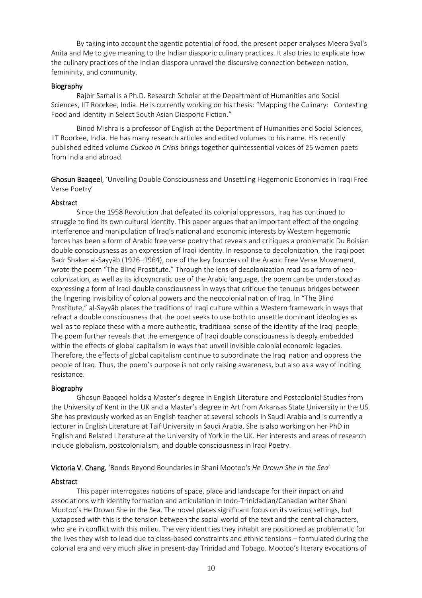By taking into account the agentic potential of food, the present paper analyses Meera Syal's Anita and Me to give meaning to the Indian diasporic culinary practices. It also tries to explicate how the culinary practices of the Indian diaspora unravel the discursive connection between nation, femininity, and community.

# Biography

Rajbir Samal is a Ph.D. Research Scholar at the Department of Humanities and Social Sciences, IIT Roorkee, India. He is currently working on his thesis: "Mapping the Culinary: Contesting Food and Identity in Select South Asian Diasporic Fiction."

Binod Mishra is a professor of English at the Department of Humanities and Social Sciences, IIT Roorkee, India. He has many research articles and edited volumes to his name. His recently published edited volume *Cuckoo in Crisis* brings together quintessential voices of 25 women poets from India and abroad.

Ghosun Baaqeel, 'Unveiling Double Consciousness and Unsettling Hegemonic Economies in Iraqi Free Verse Poetry'

# Abstract

Since the 1958 Revolution that defeated its colonial oppressors, Iraq has continued to struggle to find its own cultural identity. This paper argues that an important effect of the ongoing interference and manipulation of Iraq's national and economic interests by Western hegemonic forces has been a form of Arabic free verse poetry that reveals and critiques a problematic Du Boisian double consciousness as an expression of Iraqi identity. In response to decolonization, the Iraqi poet Badr Shaker al-Sayyāb (1926–1964), one of the key founders of the Arabic Free Verse Movement, wrote the poem "The Blind Prostitute." Through the lens of decolonization read as a form of neocolonization, as well as its idiosyncratic use of the Arabic language, the poem can be understood as expressing a form of Iraqi double consciousness in ways that critique the tenuous bridges between the lingering invisibility of colonial powers and the neocolonial nation of Iraq. In "The Blind Prostitute," al-Sayyāb places the traditions of Iraqi culture within a Western framework in ways that refract a double consciousness that the poet seeks to use both to unsettle dominant ideologies as well as to replace these with a more authentic, traditional sense of the identity of the Iraqi people. The poem further reveals that the emergence of Iraqi double consciousness is deeply embedded within the effects of global capitalism in ways that unveil invisible colonial economic legacies. Therefore, the effects of global capitalism continue to subordinate the Iraqi nation and oppress the people of Iraq. Thus, the poem's purpose is not only raising awareness, but also as a way of inciting resistance.

# Biography

Ghosun Baaqeel holds a Master's degree in English Literature and Postcolonial Studies from the University of Kent in the UK and a Master's degree in Art from Arkansas State University in the US. She has previously worked as an English teacher at several schools in Saudi Arabia and is currently a lecturer in English Literature at Taif University in Saudi Arabia. She is also working on her PhD in English and Related Literature at the University of York in the UK. Her interests and areas of research include globalism, postcolonialism, and double consciousness in Iraqi Poetry.

# Victoria V. Chang, 'Bonds Beyond Boundaries in Shani Mootoo's *He Drown She in the Sea*'

# Abstract

This paper interrogates notions of space, place and landscape for their impact on and associations with identity formation and articulation in Indo-Trinidadian/Canadian writer Shani Mootoo's He Drown She in the Sea. The novel places significant focus on its various settings, but juxtaposed with this is the tension between the social world of the text and the central characters, who are in conflict with this milieu. The very identities they inhabit are positioned as problematic for the lives they wish to lead due to class-based constraints and ethnic tensions – formulated during the colonial era and very much alive in present-day Trinidad and Tobago. Mootoo's literary evocations of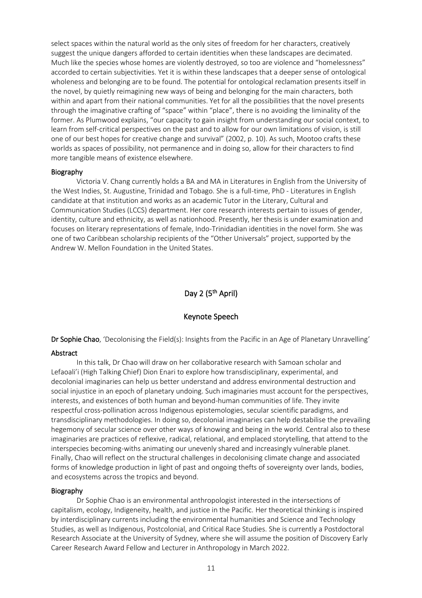select spaces within the natural world as the only sites of freedom for her characters, creatively suggest the unique dangers afforded to certain identities when these landscapes are decimated. Much like the species whose homes are violently destroyed, so too are violence and "homelessness" accorded to certain subjectivities. Yet it is within these landscapes that a deeper sense of ontological wholeness and belonging are to be found. The potential for ontological reclamation presents itself in the novel, by quietly reimagining new ways of being and belonging for the main characters, both within and apart from their national communities. Yet for all the possibilities that the novel presents through the imaginative crafting of "space" within "place", there is no avoiding the liminality of the former. As Plumwood explains, "our capacity to gain insight from understanding our social context, to learn from self-critical perspectives on the past and to allow for our own limitations of vision, is still one of our best hopes for creative change and survival" (2002, p. 10). As such, Mootoo crafts these worlds as spaces of possibility, not permanence and in doing so, allow for their characters to find more tangible means of existence elsewhere.

#### Biography

Victoria V. Chang currently holds a BA and MA in Literatures in English from the University of the West Indies, St. Augustine, Trinidad and Tobago. She is a full-time, PhD - Literatures in English candidate at that institution and works as an academic Tutor in the Literary, Cultural and Communication Studies (LCCS) department. Her core research interests pertain to issues of gender, identity, culture and ethnicity, as well as nationhood. Presently, her thesis is under examination and focuses on literary representations of female, Indo-Trinidadian identities in the novel form. She was one of two Caribbean scholarship recipients of the "Other Universals" project, supported by the Andrew W. Mellon Foundation in the United States.

# Day 2 (5<sup>th</sup> April)

#### Keynote Speech

Dr Sophie Chao, 'Decolonising the Field(s): Insights from the Pacific in an Age of Planetary Unravelling'

#### Abstract

In this talk, Dr Chao will draw on her collaborative research with Samoan scholar and Lefaoali'i (High Talking Chief) Dion Enari to explore how transdisciplinary, experimental, and decolonial imaginaries can help us better understand and address environmental destruction and social injustice in an epoch of planetary undoing. Such imaginaries must account for the perspectives, interests, and existences of both human and beyond-human communities of life. They invite respectful cross-pollination across Indigenous epistemologies, secular scientific paradigms, and transdisciplinary methodologies. In doing so, decolonial imaginaries can help destabilise the prevailing hegemony of secular science over other ways of knowing and being in the world. Central also to these imaginaries are practices of reflexive, radical, relational, and emplaced storytelling, that attend to the interspecies becoming-withs animating our unevenly shared and increasingly vulnerable planet. Finally, Chao will reflect on the structural challenges in decolonising climate change and associated forms of knowledge production in light of past and ongoing thefts of sovereignty over lands, bodies, and ecosystems across the tropics and beyond.

#### Biography

 Dr Sophie Chao is an environmental anthropologist interested in the intersections of capitalism, ecology, Indigeneity, health, and justice in the Pacific. Her theoretical thinking is inspired by interdisciplinary currents including the environmental humanities and Science and Technology Studies, as well as Indigenous, Postcolonial, and Critical Race Studies. She is currently a Postdoctoral Research Associate at the University of Sydney, where she will assume the position of Discovery Early Career Research Award Fellow and Lecturer in Anthropology in March 2022.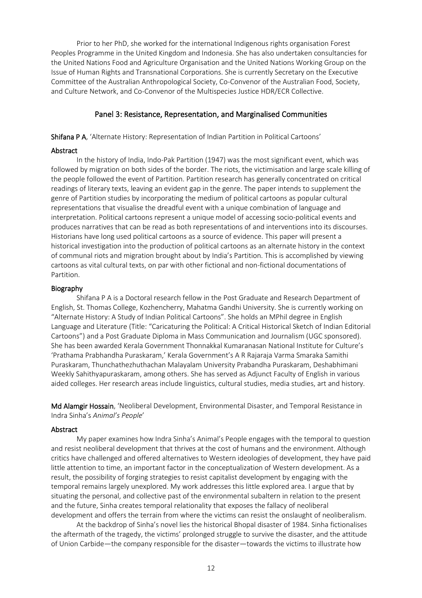Prior to her PhD, she worked for the international Indigenous rights organisation Forest Peoples Programme in the United Kingdom and Indonesia. She has also undertaken consultancies for the United Nations Food and Agriculture Organisation and the United Nations Working Group on the Issue of Human Rights and Transnational Corporations. She is currently Secretary on the Executive Committee of the Australian Anthropological Society, Co-Convenor of the Australian Food, Society, and Culture Network, and Co-Convenor of the Multispecies Justice HDR/ECR Collective.

# Panel 3: Resistance, Representation, and Marginalised Communities

Shifana P A, 'Alternate History: Representation of Indian Partition in Political Cartoons'

#### Abstract

In the history of India, Indo-Pak Partition (1947) was the most significant event, which was followed by migration on both sides of the border. The riots, the victimisation and large scale killing of the people followed the event of Partition. Partition research has generally concentrated on critical readings of literary texts, leaving an evident gap in the genre. The paper intends to supplement the genre of Partition studies by incorporating the medium of political cartoons as popular cultural representations that visualise the dreadful event with a unique combination of language and interpretation. Political cartoons represent a unique model of accessing socio-political events and produces narratives that can be read as both representations of and interventions into its discourses. Historians have long used political cartoons as a source of evidence. This paper will present a historical investigation into the production of political cartoons as an alternate history in the context of communal riots and migration brought about by India's Partition. This is accomplished by viewing cartoons as vital cultural texts, on par with other fictional and non-fictional documentations of Partition.

#### Biography

Shifana P A is a Doctoral research fellow in the Post Graduate and Research Department of English, St. Thomas College, Kozhencherry, Mahatma Gandhi University. She is currently working on "Alternate History: A Study of Indian Political Cartoons". She holds an MPhil degree in English Language and Literature (Title: "Caricaturing the Political: A Critical Historical Sketch of Indian Editorial Cartoons") and a Post Graduate Diploma in Mass Communication and Journalism (UGC sponsored). She has been awarded Kerala Government Thonnakkal Kumaranasan National Institute for Culture's 'Prathama Prabhandha Puraskaram,' Kerala Government's A R Rajaraja Varma Smaraka Samithi Puraskaram, Thunchathezhuthachan Malayalam University Prabandha Puraskaram, Deshabhimani Weekly Sahithyapuraskaram, among others. She has served as Adjunct Faculty of English in various aided colleges. Her research areas include linguistics, cultural studies, media studies, art and history.

Md Alamgir Hossain, 'Neoliberal Development, Environmental Disaster, and Temporal Resistance in Indra Sinha's *Animal's People*'

#### Abstract

My paper examines how Indra Sinha's Animal's People engages with the temporal to question and resist neoliberal development that thrives at the cost of humans and the environment. Although critics have challenged and offered alternatives to Western ideologies of development, they have paid little attention to time, an important factor in the conceptualization of Western development. As a result, the possibility of forging strategies to resist capitalist development by engaging with the temporal remains largely unexplored. My work addresses this little explored area. I argue that by situating the personal, and collective past of the environmental subaltern in relation to the present and the future, Sinha creates temporal relationality that exposes the fallacy of neoliberal development and offers the terrain from where the victims can resist the onslaught of neoliberalism.

At the backdrop of Sinha's novel lies the historical Bhopal disaster of 1984. Sinha fictionalises the aftermath of the tragedy, the victims' prolonged struggle to survive the disaster, and the attitude of Union Carbide—the company responsible for the disaster—towards the victims to illustrate how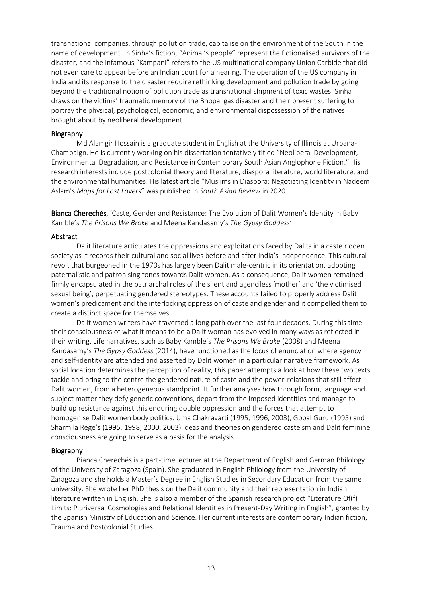transnational companies, through pollution trade, capitalise on the environment of the South in the name of development. In Sinha's fiction, "Animal's people" represent the fictionalised survivors of the disaster, and the infamous "Kampani" refers to the US multinational company Union Carbide that did not even care to appear before an Indian court for a hearing. The operation of the US company in India and its response to the disaster require rethinking development and pollution trade by going beyond the traditional notion of pollution trade as transnational shipment of toxic wastes. Sinha draws on the victims' traumatic memory of the Bhopal gas disaster and their present suffering to portray the physical, psychological, economic, and environmental dispossession of the natives brought about by neoliberal development.

#### Biography

Md Alamgir Hossain is a graduate student in English at the University of Illinois at Urbana-Champaign. He is currently working on his dissertation tentatively titled "Neoliberal Development, Environmental Degradation, and Resistance in Contemporary South Asian Anglophone Fiction." His research interests include postcolonial theory and literature, diaspora literature, world literature, and the environmental humanities. His latest article "Muslims in Diaspora: Negotiating Identity in Nadeem Aslam's *Maps for Lost Lovers*" was published in *South Asian Review* in 2020.

Bianca Cherechés, 'Caste, Gender and Resistance: The Evolution of Dalit Women's Identity in Baby Kamble's *The Prisons We Broke* and Meena Kandasamy's *The Gypsy Goddess*'

#### Abstract

Dalit literature articulates the oppressions and exploitations faced by Dalits in a caste ridden society as it records their cultural and social lives before and after India's independence. This cultural revolt that burgeoned in the 1970s has largely been Dalit male-centric in its orientation, adopting paternalistic and patronising tones towards Dalit women. As a consequence, Dalit women remained firmly encapsulated in the patriarchal roles of the silent and agenciless 'mother' and 'the victimised sexual being', perpetuating gendered stereotypes. These accounts failed to properly address Dalit women's predicament and the interlocking oppression of caste and gender and it compelled them to create a distinct space for themselves.

Dalit women writers have traversed a long path over the last four decades. During this time their consciousness of what it means to be a Dalit woman has evolved in many ways as reflected in their writing. Life narratives, such as Baby Kamble's *The Prisons We Broke* (2008) and Meena Kandasamy's *The Gypsy Goddess* (2014), have functioned as the locus of enunciation where agency and self-identity are attended and asserted by Dalit women in a particular narrative framework. As social location determines the perception of reality, this paper attempts a look at how these two texts tackle and bring to the centre the gendered nature of caste and the power-relations that still affect Dalit women, from a heterogeneous standpoint. It further analyses how through form, language and subject matter they defy generic conventions, depart from the imposed identities and manage to build up resistance against this enduring double oppression and the forces that attempt to homogenise Dalit women body politics. Uma Chakravarti (1995, 1996, 2003), Gopal Guru (1995) and Sharmila Rege's (1995, 1998, 2000, 2003) ideas and theories on gendered casteism and Dalit feminine consciousness are going to serve as a basis for the analysis.

#### Biography

 Bianca Cherechés is a part-time lecturer at the Department of English and German Philology of the University of Zaragoza (Spain). She graduated in English Philology from the University of Zaragoza and she holds a Master's Degree in English Studies in Secondary Education from the same university. She wrote her PhD thesis on the Dalit community and their representation in Indian literature written in English. She is also a member of the Spanish research project "Literature Of(f) Limits: Pluriversal Cosmologies and Relational Identities in Present-Day Writing in English", granted by the Spanish Ministry of Education and Science. Her current interests are contemporary Indian fiction, Trauma and Postcolonial Studies.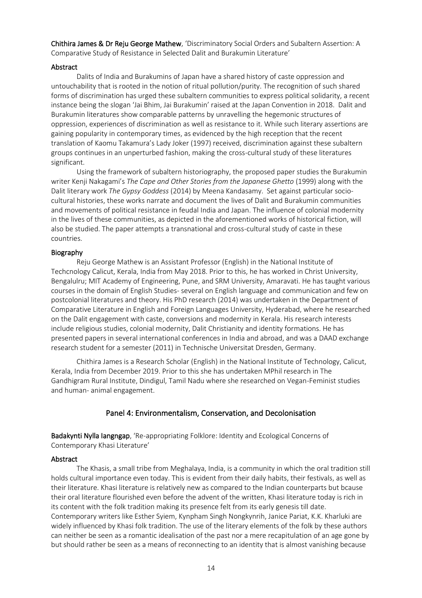Chithira James & Dr Reju George Mathew, 'Discriminatory Social Orders and Subaltern Assertion: A Comparative Study of Resistance in Selected Dalit and Burakumin Literature'

# Abstract

Dalits of India and Burakumins of Japan have a shared history of caste oppression and untouchability that is rooted in the notion of ritual pollution/purity. The recognition of such shared forms of discrimination has urged these subaltern communities to express political solidarity, a recent instance being the slogan 'Jai Bhim, Jai Burakumin' raised at the Japan Convention in 2018. Dalit and Burakumin literatures show comparable patterns by unravelling the hegemonic structures of oppression, experiences of discrimination as well as resistance to it. While such literary assertions are gaining popularity in contemporary times, as evidenced by the high reception that the recent translation of Kaomu Takamura's Lady Joker (1997) received, discrimination against these subaltern groups continues in an unperturbed fashion, making the cross-cultural study of these literatures significant.

Using the framework of subaltern historiography, the proposed paper studies the Burakumin writer Kenji Nakagami's *The Cape and Other Stories from the Japanese Ghetto* (1999) along with the Dalit literary work *The Gypsy Goddess* (2014) by Meena Kandasamy. Set against particular sociocultural histories, these works narrate and document the lives of Dalit and Burakumin communities and movements of political resistance in feudal India and Japan. The influence of colonial modernity in the lives of these communities, as depicted in the aforementioned works of historical fiction, will also be studied. The paper attempts a transnational and cross-cultural study of caste in these countries.

#### Biography

Reju George Mathew is an Assistant Professor (English) in the National Institute of Techcnology Calicut, Kerala, India from May 2018. Prior to this, he has worked in Christ University, Bengalulru; MIT Academy of Engineering, Pune, and SRM University, Amaravati. He has taught various courses in the domain of English Studies- several on English language and communication and few on postcolonial literatures and theory. His PhD research (2014) was undertaken in the Department of Comparative Literature in English and Foreign Languages University, Hyderabad, where he researched on the Dalit engagement with caste, conversions and modernity in Kerala. His research interests include religious studies, colonial modernity, Dalit Christianity and identity formations. He has presented papers in several international conferences in India and abroad, and was a DAAD exchange research student for a semester (2011) in Technische Universitat Dresden, Germany.

Chithira James is a Research Scholar (English) in the National Institute of Technology, Calicut, Kerala, India from December 2019. Prior to this she has undertaken MPhil research in The Gandhigram Rural Institute, Dindigul, Tamil Nadu where she researched on Vegan-Feminist studies and human- animal engagement.

# Panel 4: Environmentalism, Conservation, and Decolonisation

Badakynti Nylla Iangngap, 'Re-appropriating Folklore: Identity and Ecological Concerns of Contemporary Khasi Literature'

# Abstract

The Khasis, a small tribe from Meghalaya, India, is a community in which the oral tradition still holds cultural importance even today. This is evident from their daily habits, their festivals, as well as their literature. Khasi literature is relatively new as compared to the Indian counterparts but bcause their oral literature flourished even before the advent of the written, Khasi literature today is rich in its content with the folk tradition making its presence felt from its early genesis till date. Contemporary writers like Esther Syiem, Kynpham Singh Nongkynrih, Janice Pariat, K.K. Kharluki are widely influenced by Khasi folk tradition. The use of the literary elements of the folk by these authors can neither be seen as a romantic idealisation of the past nor a mere recapitulation of an age gone by but should rather be seen as a means of reconnecting to an identity that is almost vanishing because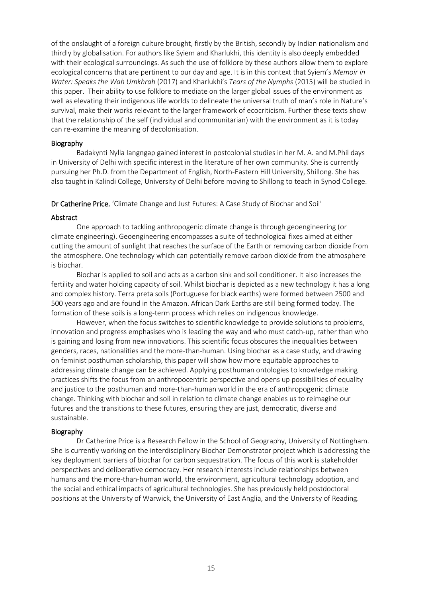of the onslaught of a foreign culture brought, firstly by the British, secondly by Indian nationalism and thirdly by globalisation. For authors like Syiem and Kharlukhi, this identity is also deeply embedded with their ecological surroundings. As such the use of folklore by these authors allow them to explore ecological concerns that are pertinent to our day and age. It is in this context that Syiem's *Memoir in Water: Speaks the Wah Umkhrah* (2017) and Kharlukhi's *Tears of the Nymphs* (2015) will be studied in this paper. Their ability to use folklore to mediate on the larger global issues of the environment as well as elevating their indigenous life worlds to delineate the universal truth of man's role in Nature's survival, make their works relevant to the larger framework of ecocriticism. Further these texts show that the relationship of the self (individual and communitarian) with the environment as it is today can re-examine the meaning of decolonisation.

#### Biography

Badakynti Nylla Iangngap gained interest in postcolonial studies in her M. A. and M.Phil days in University of Delhi with specific interest in the literature of her own community. She is currently pursuing her Ph.D. from the Department of English, North-Eastern Hill University, Shillong. She has also taught in Kalindi College, University of Delhi before moving to Shillong to teach in Synod College.

Dr Catherine Price, 'Climate Change and Just Futures: A Case Study of Biochar and Soil'

#### Abstract

One approach to tackling anthropogenic climate change is through geoengineering (or climate engineering). Geoengineering encompasses a suite of technological fixes aimed at either cutting the amount of sunlight that reaches the surface of the Earth or removing carbon dioxide from the atmosphere. One technology which can potentially remove carbon dioxide from the atmosphere is biochar.

Biochar is applied to soil and acts as a carbon sink and soil conditioner. It also increases the fertility and water holding capacity of soil. Whilst biochar is depicted as a new technology it has a long and complex history. Terra preta soils (Portuguese for black earths) were formed between 2500 and 500 years ago and are found in the Amazon. African Dark Earths are still being formed today. The formation of these soils is a long-term process which relies on indigenous knowledge.

However, when the focus switches to scientific knowledge to provide solutions to problems, innovation and progress emphasises who is leading the way and who must catch-up, rather than who is gaining and losing from new innovations. This scientific focus obscures the inequalities between genders, races, nationalities and the more-than-human. Using biochar as a case study, and drawing on feminist posthuman scholarship, this paper will show how more equitable approaches to addressing climate change can be achieved. Applying posthuman ontologies to knowledge making practices shifts the focus from an anthropocentric perspective and opens up possibilities of equality and justice to the posthuman and more-than-human world in the era of anthropogenic climate change. Thinking with biochar and soil in relation to climate change enables us to reimagine our futures and the transitions to these futures, ensuring they are just, democratic, diverse and sustainable.

# Biography

Dr Catherine Price is a Research Fellow in the School of Geography, University of Nottingham. She is currently working on the interdisciplinary Biochar Demonstrator project which is addressing the key deployment barriers of biochar for carbon sequestration. The focus of this work is stakeholder perspectives and deliberative democracy. Her research interests include relationships between humans and the more-than-human world, the environment, agricultural technology adoption, and the social and ethical impacts of agricultural technologies. She has previously held postdoctoral positions at the University of Warwick, the University of East Anglia, and the University of Reading.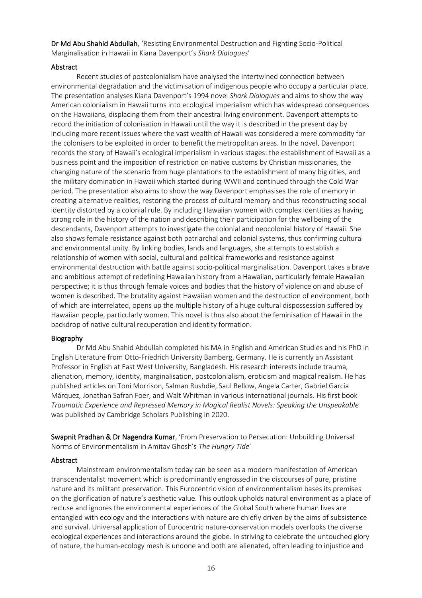Dr Md Abu Shahid Abdullah, 'Resisting Environmental Destruction and Fighting Socio-Political Marginalisation in Hawaii in Kiana Davenport's *Shark Dialogues*'

# Abstract

Recent studies of postcolonialism have analysed the intertwined connection between environmental degradation and the victimisation of indigenous people who occupy a particular place. The presentation analyses Kiana Davenport's 1994 novel *Shark Dialogues* and aims to show the way American colonialism in Hawaii turns into ecological imperialism which has widespread consequences on the Hawaiians, displacing them from their ancestral living environment. Davenport attempts to record the initiation of colonisation in Hawaii until the way it is described in the present day by including more recent issues where the vast wealth of Hawaii was considered a mere commodity for the colonisers to be exploited in order to benefit the metropolitan areas. In the novel, Davenport records the story of Hawaii's ecological imperialism in various stages: the establishment of Hawaii as a business point and the imposition of restriction on native customs by Christian missionaries, the changing nature of the scenario from huge plantations to the establishment of many big cities, and the military domination in Hawaii which started during WWII and continued through the Cold War period. The presentation also aims to show the way Davenport emphasises the role of memory in creating alternative realities, restoring the process of cultural memory and thus reconstructing social identity distorted by a colonial rule. By including Hawaiian women with complex identities as having strong role in the history of the nation and describing their participation for the wellbeing of the descendants, Davenport attempts to investigate the colonial and neocolonial history of Hawaii. She also shows female resistance against both patriarchal and colonial systems, thus confirming cultural and environmental unity. By linking bodies, lands and languages, she attempts to establish a relationship of women with social, cultural and political frameworks and resistance against environmental destruction with battle against socio-political marginalisation. Davenport takes a brave and ambitious attempt of redefining Hawaiian history from a Hawaiian, particularly female Hawaiian perspective; it is thus through female voices and bodies that the history of violence on and abuse of women is described. The brutality against Hawaiian women and the destruction of environment, both of which are interrelated, opens up the multiple history of a huge cultural dispossession suffered by Hawaiian people, particularly women. This novel is thus also about the feminisation of Hawaii in the backdrop of native cultural recuperation and identity formation.

# Biography

Dr Md Abu Shahid Abdullah completed his MA in English and American Studies and his PhD in English Literature from Otto-Friedrich University Bamberg, Germany. He is currently an Assistant Professor in English at East West University, Bangladesh. His research interests include trauma, alienation, memory, identity, marginalisation, postcolonialism, eroticism and magical realism. He has published articles on Toni Morrison, Salman Rushdie, Saul Bellow, Angela Carter, Gabriel García Márquez, Jonathan Safran Foer, and Walt Whitman in various international journals. His first book *Traumatic Experience and Repressed Memory in Magical Realist Novels: Speaking the Unspeakable* was published by Cambridge Scholars Publishing in 2020.

Swapnit Pradhan & Dr Nagendra Kumar, 'From Preservation to Persecution: Unbuilding Universal Norms of Environmentalism in Amitav Ghosh's *The Hungry Tide*'

# Abstract

Mainstream environmentalism today can be seen as a modern manifestation of American transcendentalist movement which is predominantly engrossed in the discourses of pure, pristine nature and its militant preservation. This Eurocentric vision of environmentalism bases its premises on the glorification of nature's aesthetic value. This outlook upholds natural environment as a place of recluse and ignores the environmental experiences of the Global South where human lives are entangled with ecology and the interactions with nature are chiefly driven by the aims of subsistence and survival. Universal application of Eurocentric nature-conservation models overlooks the diverse ecological experiences and interactions around the globe. In striving to celebrate the untouched glory of nature, the human-ecology mesh is undone and both are alienated, often leading to injustice and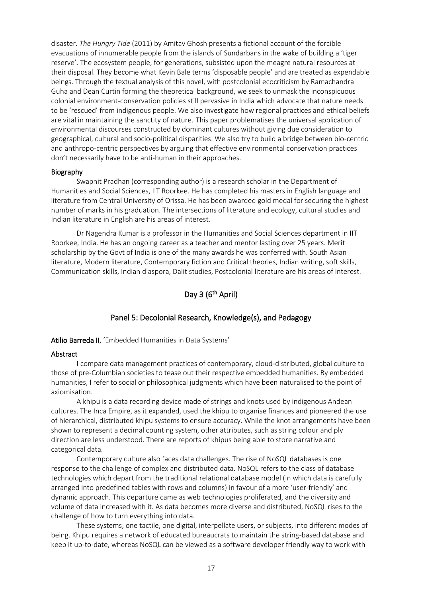disaster. *The Hungry Tide* (2011) by Amitav Ghosh presents a fictional account of the forcible evacuations of innumerable people from the islands of Sundarbans in the wake of building a 'tiger reserve'. The ecosystem people, for generations, subsisted upon the meagre natural resources at their disposal. They become what Kevin Bale terms 'disposable people' and are treated as expendable beings. Through the textual analysis of this novel, with postcolonial ecocriticism by Ramachandra Guha and Dean Curtin forming the theoretical background, we seek to unmask the inconspicuous colonial environment-conservation policies still pervasive in India which advocate that nature needs to be 'rescued' from indigenous people. We also investigate how regional practices and ethical beliefs are vital in maintaining the sanctity of nature. This paper problematises the universal application of environmental discourses constructed by dominant cultures without giving due consideration to geographical, cultural and socio-political disparities. We also try to build a bridge between bio-centric and anthropo-centric perspectives by arguing that effective environmental conservation practices don't necessarily have to be anti-human in their approaches.

#### Biography

Swapnit Pradhan (corresponding author) is a research scholar in the Department of Humanities and Social Sciences, IIT Roorkee. He has completed his masters in English language and literature from Central University of Orissa. He has been awarded gold medal for securing the highest number of marks in his graduation. The intersections of literature and ecology, cultural studies and Indian literature in English are his areas of interest.

Dr Nagendra Kumar is a professor in the Humanities and Social Sciences department in IIT Roorkee, India. He has an ongoing career as a teacher and mentor lasting over 25 years. Merit scholarship by the Govt of India is one of the many awards he was conferred with. South Asian literature, Modern literature, Contemporary fiction and Critical theories, Indian writing, soft skills, Communication skills, Indian diaspora, Dalit studies, Postcolonial literature are his areas of interest.

# Day 3 (6<sup>th</sup> April)

# Panel 5: Decolonial Research, Knowledge(s), and Pedagogy

#### Atilio Barreda II, 'Embedded Humanities in Data Systems'

#### Abstract

I compare data management practices of contemporary, cloud-distributed, global culture to those of pre-Columbian societies to tease out their respective embedded humanities. By embedded humanities, I refer to social or philosophical judgments which have been naturalised to the point of axiomisation.  

A khipu is a data recording device made of strings and knots used by indigenous Andean cultures. The Inca Empire, as it expanded, used the khipu to organise finances and pioneered the use of hierarchical, distributed khipu systems to ensure accuracy. While the knot arrangements have been shown to represent a decimal counting system, other attributes, such as string colour and ply direction are less understood. There are reports of khipus being able to store narrative and categorical data.   

Contemporary culture also faces data challenges. The rise of NoSQL databases is one response to the challenge of complex and distributed data. NoSQL refers to the class of database technologies which depart from the traditional relational database model (in which data is carefully arranged into predefined tables with rows and columns) in favour of a more 'user-friendly' and dynamic approach. This departure came as web technologies proliferated, and the diversity and volume of data increased with it. As data becomes more diverse and distributed, NoSQL rises to the challenge of how to turn everything into data.  

These systems, one tactile, one digital, interpellate users, or subjects, into different modes of being. Khipu requires a network of educated bureaucrats to maintain the string-based database and keep it up-to-date, whereas NoSQL can be viewed as a software developer friendly way to work with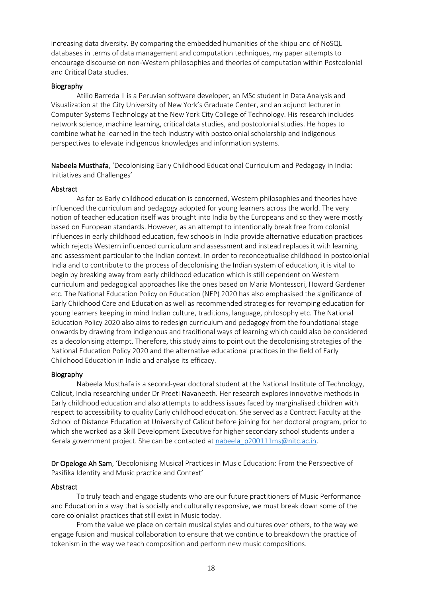increasing data diversity. By comparing the embedded humanities of the khipu and of NoSQL databases in terms of data management and computation techniques, my paper attempts to encourage discourse on non-Western philosophies and theories of computation within Postcolonial and Critical Data studies.

# Biography

Atilio Barreda II is a Peruvian software developer, an MSc student in Data Analysis and Visualization at the City University of New York's Graduate Center, and an adjunct lecturer in Computer Systems Technology at the New York City College of Technology. His research includes network science, machine learning, critical data studies, and postcolonial studies. He hopes to combine what he learned in the tech industry with postcolonial scholarship and indigenous perspectives to elevate indigenous knowledges and information systems.

Nabeela Musthafa, 'Decolonising Early Childhood Educational Curriculum and Pedagogy in India: Initiatives and Challenges'

# Abstract

As far as Early childhood education is concerned, Western philosophies and theories have influenced the curriculum and pedagogy adopted for young learners across the world. The very notion of teacher education itself was brought into India by the Europeans and so they were mostly based on European standards. However, as an attempt to intentionally break free from colonial influences in early childhood education, few schools in India provide alternative education practices which rejects Western influenced curriculum and assessment and instead replaces it with learning and assessment particular to the Indian context. In order to reconceptualise childhood in postcolonial India and to contribute to the process of decolonising the Indian system of education, it is vital to begin by breaking away from early childhood education which is still dependent on Western curriculum and pedagogical approaches like the ones based on Maria Montessori, Howard Gardener etc. The National Education Policy on Education (NEP) 2020 has also emphasised the significance of Early Childhood Care and Education as well as recommended strategies for revamping education for young learners keeping in mind Indian culture, traditions, language, philosophy etc. The National Education Policy 2020 also aims to redesign curriculum and pedagogy from the foundational stage onwards by drawing from indigenous and traditional ways of learning which could also be considered as a decolonising attempt. Therefore, this study aims to point out the decolonising strategies of the National Education Policy 2020 and the alternative educational practices in the field of Early Childhood Education in India and analyse its efficacy.

# Biography

Nabeela Musthafa is a second-year doctoral student at the National Institute of Technology, Calicut, India researching under Dr Preeti Navaneeth. Her research explores innovative methods in Early childhood education and also attempts to address issues faced by marginalised children with respect to accessibility to quality Early childhood education. She served as a Contract Faculty at the School of Distance Education at University of Calicut before joining for her doctoral program, prior to which she worked as a Skill Development Executive for higher secondary school students under a Kerala government project. She can be contacted at [nabeela\\_p200111ms@nitc.ac.in.](mailto:nabeela_p200111ms@nitc.ac.in)

Dr Opeloge Ah Sam, 'Decolonising Musical Practices in Music Education: From the Perspective of Pasifika Identity and Music practice and Context'

# Abstract

To truly teach and engage students who are our future practitioners of Music Performance and Education in a way that is socially and culturally responsive, we must break down some of the core colonialist practices that still exist in Music today.

From the value we place on certain musical styles and cultures over others, to the way we engage fusion and musical collaboration to ensure that we continue to breakdown the practice of tokenism in the way we teach composition and perform new music compositions.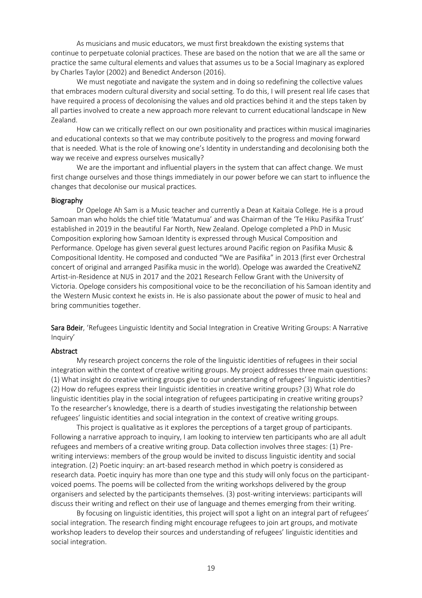As musicians and music educators, we must first breakdown the existing systems that continue to perpetuate colonial practices. These are based on the notion that we are all the same or practice the same cultural elements and values that assumes us to be a Social Imaginary as explored by Charles Taylor (2002) and Benedict Anderson (2016).

We must negotiate and navigate the system and in doing so redefining the collective values that embraces modern cultural diversity and social setting. To do this, I will present real life cases that have required a process of decolonising the values and old practices behind it and the steps taken by all parties involved to create a new approach more relevant to current educational landscape in New Zealand.

How can we critically reflect on our own positionality and practices within musical imaginaries and educational contexts so that we may contribute positively to the progress and moving forward that is needed. What is the role of knowing one's Identity in understanding and decolonising both the way we receive and express ourselves musically?

We are the important and influential players in the system that can affect change. We must first change ourselves and those things immediately in our power before we can start to influence the changes that decolonise our musical practices.

#### Biography

Dr Opeloge Ah Sam is a Music teacher and currently a Dean at Kaitaia College. He is a proud Samoan man who holds the chief title 'Matatumua' and was Chairman of the 'Te Hiku Pasifika Trust' established in 2019 in the beautiful Far North, New Zealand. Opeloge completed a PhD in Music Composition exploring how Samoan Identity is expressed through Musical Composition and Performance. Opeloge has given several guest lectures around Pacific region on Pasifika Music & Compositional Identity. He composed and conducted "We are Pasifika" in 2013 (first ever Orchestral concert of original and arranged Pasifika music in the world). Opeloge was awarded the CreativeNZ Artist-in-Residence at NUS in 2017 and the 2021 Research Fellow Grant with the University of Victoria. Opeloge considers his compositional voice to be the reconciliation of his Samoan identity and the Western Music context he exists in. He is also passionate about the power of music to heal and bring communities together.

Sara Bdeir, 'Refugees Linguistic Identity and Social Integration in Creative Writing Groups: A Narrative Inquiry'

#### Abstract

My research project concerns the role of the linguistic identities of refugees in their social integration within the context of creative writing groups. My project addresses three main questions: (1) What insight do creative writing groups give to our understanding of refugees' linguistic identities? (2) How do refugees express their linguistic identities in creative writing groups? (3) What role do linguistic identities play in the social integration of refugees participating in creative writing groups? To the researcher's knowledge, there is a dearth of studies investigating the relationship between refugees' linguistic identities and social integration in the context of creative writing groups.

This project is qualitative as it explores the perceptions of a target group of participants. Following a narrative approach to inquiry, I am looking to interview ten participants who are all adult refugees and members of a creative writing group. Data collection involves three stages: (1) Prewriting interviews: members of the group would be invited to discuss linguistic identity and social integration. (2) Poetic inquiry: an art-based research method in which poetry is considered as research data. Poetic inquiry has more than one type and this study will only focus on the participantvoiced poems. The poems will be collected from the writing workshops delivered by the group organisers and selected by the participants themselves. (3) post-writing interviews: participants will discuss their writing and reflect on their use of language and themes emerging from their writing.

By focusing on linguistic identities, this project will spot a light on an integral part of refugees' social integration. The research finding might encourage refugees to join art groups, and motivate workshop leaders to develop their sources and understanding of refugees' linguistic identities and social integration.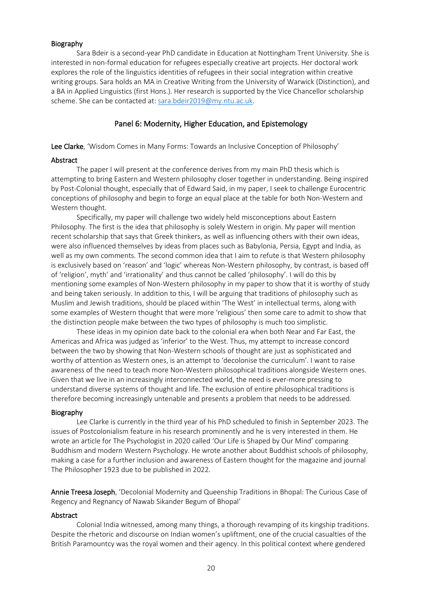# Biography

Sara Bdeir is a second-year PhD candidate in Education at Nottingham Trent University. She is interested in non-formal education for refugees especially creative art projects. Her doctoral work explores the role of the linguistics identities of refugees in their social integration within creative writing groups. Sara holds an MA in Creative Writing from the University of Warwick (Distinction), and a BA in Applied Linguistics (first Hons.). Her research is supported by the Vice Chancellor scholarship scheme. She can be contacted at[: sara.bdeir2019@my.ntu.ac.uk.](mailto:sara.bdeir2019@my.ntu.ac.uk)

# Panel 6: Modernity, Higher Education, and Epistemology

Lee Clarke, 'Wisdom Comes in Many Forms: Towards an Inclusive Conception of Philosophy'

# Abstract

The paper I will present at the conference derives from my main PhD thesis which is attempting to bring Eastern and Western philosophy closer together in understanding. Being inspired by Post-Colonial thought, especially that of Edward Said, in my paper, I seek to challenge Eurocentric conceptions of philosophy and begin to forge an equal place at the table for both Non-Western and Western thought.

Specifically, my paper will challenge two widely held misconceptions about Eastern Philosophy. The first is the idea that philosophy is solely Western in origin. My paper will mention recent scholarship that says that Greek thinkers, as well as influencing others with their own ideas, were also influenced themselves by ideas from places such as Babylonia, Persia, Egypt and India, as well as my own comments. The second common idea that I aim to refute is that Western philosophy is exclusively based on 'reason' and 'logic' whereas Non-Western philosophy, by contrast, is based off of 'religion', myth' and 'irrationality' and thus cannot be called 'philosophy'. I will do this by mentioning some examples of Non-Western philosophy in my paper to show that it is worthy of study and being taken seriously. In addition to this, I will be arguing that traditions of philosophy such as Muslim and Jewish traditions, should be placed within 'The West' in intellectual terms, along with some examples of Western thought that were more 'religious' then some care to admit to show that the distinction people make between the two types of philosophy is much too simplistic.

These ideas in my opinion date back to the colonial era when both Near and Far East, the Americas and Africa was judged as 'inferior' to the West. Thus, my attempt to increase concord between the two by showing that Non-Western schools of thought are just as sophisticated and worthy of attention as Western ones, is an attempt to 'decolonise the curriculum'. I want to raise awareness of the need to teach more Non-Western philosophical traditions alongside Western ones. Given that we live in an increasingly interconnected world, the need is ever-more pressing to understand diverse systems of thought and life. The exclusion of entire philosophical traditions is therefore becoming increasingly untenable and presents a problem that needs to be addressed.

# Biography

Lee Clarke is currently in the third year of his PhD scheduled to finish in September 2023. The issues of Postcolonialism feature in his research prominently and he is very interested in them. He wrote an article for The Psychologist in 2020 called 'Our Life is Shaped by Our Mind' comparing Buddhism and modern Western Psychology. He wrote another about Buddhist schools of philosophy, making a case for a further inclusion and awareness of Eastern thought for the magazine and journal The Philosopher 1923 due to be published in 2022.

Annie Treesa Joseph, 'Decolonial Modernity and Queenship Traditions in Bhopal: The Curious Case of Regency and Regnancy of Nawab Sikander Begum of Bhopal'

# Abstract

Colonial India witnessed, among many things, a thorough revamping of its kingship traditions. Despite the rhetoric and discourse on Indian women's upliftment, one of the crucial casualties of the British Paramountcy was the royal women and their agency. In this political context where gendered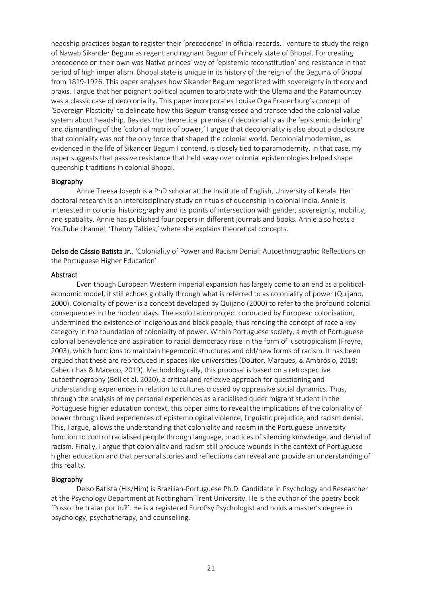headship practices began to register their 'precedence' in official records, I venture to study the reign of Nawab Sikander Begum as regent and regnant Begum of Princely state of Bhopal. For creating precedence on their own was Native princes' way of 'epistemic reconstitution' and resistance in that period of high imperialism. Bhopal state is unique in its history of the reign of the Begums of Bhopal from 1819-1926. This paper analyses how Sikander Begum negotiated with sovereignty in theory and praxis. I argue that her poignant political acumen to arbitrate with the Ulema and the Paramountcy was a classic case of decoloniality. This paper incorporates Louise Olga Fradenburg's concept of 'Sovereign Plasticity' to delineate how this Begum transgressed and transcended the colonial value system about headship. Besides the theoretical premise of decoloniality as the 'epistemic delinking' and dismantling of the 'colonial matrix of power,' I argue that decoloniality is also about a disclosure that coloniality was not the only force that shaped the colonial world. Decolonial modernism, as evidenced in the life of Sikander Begum I contend, is closely tied to paramodernity. In that case, my paper suggests that passive resistance that held sway over colonial epistemologies helped shape queenship traditions in colonial Bhopal.

#### Biography

Annie Treesa Joseph is a PhD scholar at the Institute of English, University of Kerala. Her doctoral research is an interdisciplinary study on rituals of queenship in colonial India. Annie is interested in colonial historiography and its points of intersection with gender, sovereignty, mobility, and spatiality. Annie has published four papers in different journals and books. Annie also hosts a YouTube channel, 'Theory Talkies,' where she explains theoretical concepts.

Delso de Cássio Batista Jr., 'Coloniality of Power and Racism Denial: Autoethnographic Reflections on the Portuguese Higher Education'

#### Abstract

Even though European Western imperial expansion has largely come to an end as a politicaleconomic model, it still echoes globally through what is referred to as coloniality of power (Quijano, 2000). Coloniality of power is a concept developed by Quijano (2000) to refer to the profound colonial consequences in the modern days. The exploitation project conducted by European colonisation, undermined the existence of indigenous and black people, thus rending the concept of race a key category in the foundation of coloniality of power. Within Portuguese society, a myth of Portuguese colonial benevolence and aspiration to racial democracy rose in the form of lusotropicalism (Freyre, 2003), which functions to maintain hegemonic structures and old/new forms of racism. It has been argued that these are reproduced in spaces like universities (Doutor, Marques, & Ambrósio, 2018; Cabecinhas & Macedo, 2019). Methodologically, this proposal is based on a retrospective autoethnography (Bell et al, 2020), a critical and reflexive approach for questioning and understanding experiences in relation to cultures crossed by oppressive social dynamics. Thus, through the analysis of my personal experiences as a racialised queer migrant student in the Portuguese higher education context, this paper aims to reveal the implications of the coloniality of power through lived experiences of epistemological violence, linguistic prejudice, and racism denial. This, I argue, allows the understanding that coloniality and racism in the Portuguese university function to control racialised people through language, practices of silencing knowledge, and denial of racism. Finally, I argue that coloniality and racism still produce wounds in the context of Portuguese higher education and that personal stories and reflections can reveal and provide an understanding of this reality.

#### Biography

Delso Batista (His/Him) is Brazilian-Portuguese Ph.D. Candidate in Psychology and Researcher at the Psychology Department at Nottingham Trent University. He is the author of the poetry book 'Posso the tratar por tu?'. He is a registered EuroPsy Psychologist and holds a master's degree in psychology, psychotherapy, and counselling.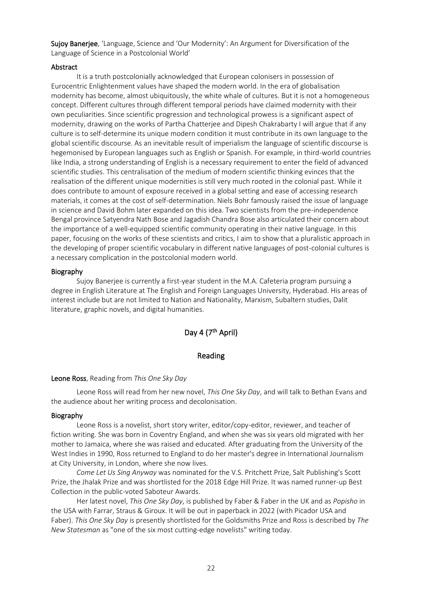Sujoy Banerjee, 'Language, Science and 'Our Modernity': An Argument for Diversification of the Language of Science in a Postcolonial World'

# Abstract

It is a truth postcolonially acknowledged that European colonisers in possession of Eurocentric Enlightenment values have shaped the modern world. In the era of globalisation modernity has become, almost ubiquitously, the white whale of cultures. But it is not a homogeneous concept. Different cultures through different temporal periods have claimed modernity with their own peculiarities. Since scientific progression and technological prowess is a significant aspect of modernity, drawing on the works of Partha Chatterjee and Dipesh Chakrabarty I will argue that if any culture is to self-determine its unique modern condition it must contribute in its own language to the global scientific discourse. As an inevitable result of imperialism the language of scientific discourse is hegemonised by European languages such as English or Spanish. For example, in third-world countries like India, a strong understanding of English is a necessary requirement to enter the field of advanced scientific studies. This centralisation of the medium of modern scientific thinking evinces that the realisation of the different unique modernities is still very much rooted in the colonial past. While it does contribute to amount of exposure received in a global setting and ease of accessing research materials, it comes at the cost of self-determination. Niels Bohr famously raised the issue of language in science and David Bohm later expanded on this idea. Two scientists from the pre-independence Bengal province Satyendra Nath Bose and Jagadish Chandra Bose also articulated their concern about the importance of a well-equipped scientific community operating in their native language. In this paper, focusing on the works of these scientists and critics, I aim to show that a pluralistic approach in the developing of proper scientific vocabulary in different native languages of post-colonial cultures is a necessary complication in the postcolonial modern world.

#### Biography

Sujoy Banerjee is currently a first-year student in the M.A. Cafeteria program pursuing a degree in English Literature at The English and Foreign Languages University, Hyderabad. His areas of interest include but are not limited to Nation and Nationality, Marxism, Subaltern studies, Dalit literature, graphic novels, and digital humanities.

# Day 4 (7<sup>th</sup> April)

# Reading

#### Leone Ross, Reading from *This One Sky Day*

Leone Ross will read from her new novel, *This One Sky Day*, and will talk to Bethan Evans and the audience about her writing process and decolonisation.

#### Biography

Leone Ross is a novelist, short story writer, editor/copy-editor, reviewer, and teacher of fiction writing. She was born in Coventry England, and when she was six years old migrated with her mother to Jamaica, where she was raised and educated. After graduating from the University of the West Indies in 1990, Ross returned to England to do her master's degree in International Journalism at City University, in London, where she now lives.

*Come Let Us Sing Anyway* was nominated for the V.S. Pritchett Prize, Salt Publishing's Scott Prize, the Jhalak Prize and was shortlisted for the 2018 Edge Hill Prize. It was named runner-up Best Collection in the public-voted Saboteur Awards.

Her latest novel, *This One Sky Day*, is published by Faber & Faber in the UK and as *Popisho* in the USA with Farrar, Straus & Giroux. It will be out in paperback in 2022 (with Picador USA and Faber). *This One Sky Day* is presently shortlisted for the Goldsmiths Prize and Ross is described by *The New Statesman* as "one of the six most cutting-edge novelists" writing today.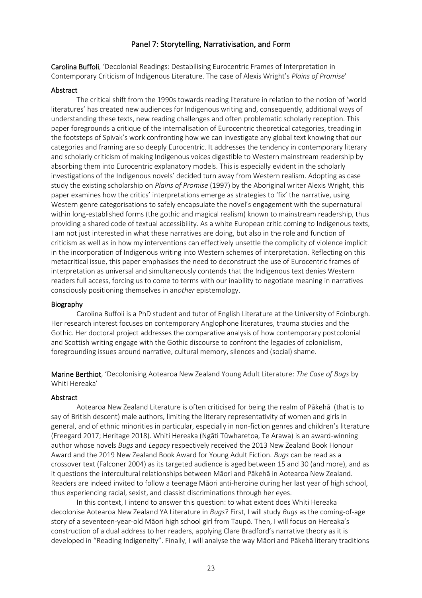# Panel 7: Storytelling, Narrativisation, and Form

Carolina Buffoli, 'Decolonial Readings: Destabilising Eurocentric Frames of Interpretation in Contemporary Criticism of Indigenous Literature. The case of Alexis Wright's *Plains of Promise*'

#### Abstract

The critical shift from the 1990s towards reading literature in relation to the notion of 'world literatures' has created new audiences for Indigenous writing and, consequently, additional ways of understanding these texts, new reading challenges and often problematic scholarly reception. This paper foregrounds a critique of the internalisation of Eurocentric theoretical categories, treading in the footsteps of Spivak's work confronting how we can investigate any global text knowing that our categories and framing are so deeply Eurocentric. It addresses the tendency in contemporary literary and scholarly criticism of making Indigenous voices digestible to Western mainstream readership by absorbing them into Eurocentric explanatory models. This is especially evident in the scholarly investigations of the Indigenous novels' decided turn away from Western realism. Adopting as case study the existing scholarship on *Plains of Promise* (1997) by the Aboriginal writer Alexis Wright, this paper examines how the critics' interpretations emerge as strategies to 'fix' the narrative, using Western genre categorisations to safely encapsulate the novel's engagement with the supernatural within long-established forms (the gothic and magical realism) known to mainstream readership, thus providing a shared code of textual accessibility. As a white European critic coming to Indigenous texts, I am not just interested in what these narratives are doing, but also in the role and function of criticism as well as in how my interventions can effectively unsettle the complicity of violence implicit in the incorporation of Indigenous writing into Western schemes of interpretation. Reflecting on this metacritical issue, this paper emphasises the need to deconstruct the use of Eurocentric frames of interpretation as universal and simultaneously contends that the Indigenous text denies Western readers full access, forcing us to come to terms with our inability to negotiate meaning in narratives consciously positioning themselves in an*other* epistemology.

# Biography

Carolina Buffoli is a PhD student and tutor of English Literature at the University of Edinburgh. Her research interest focuses on contemporary Anglophone literatures, trauma studies and the Gothic. Her doctoral project addresses the comparative analysis of how contemporary postcolonial and Scottish writing engage with the Gothic discourse to confront the legacies of colonialism, foregrounding issues around narrative, cultural memory, silences and (social) shame.

Marine Berthiot, 'Decolonising Aotearoa New Zealand Young Adult Literature: *The Case of Bugs* by Whiti Hereaka'

# Abstract

Aotearoa New Zealand Literature is often criticised for being the realm of Pākehā (that is to say of British descent) male authors, limiting the literary representativity of women and girls in general, and of ethnic minorities in particular, especially in non-fiction genres and children's literature (Freegard 2017; Heritage 2018). Whiti Hereaka (Ngāti Tūwharetoa, Te Arawa) is an award-winning author whose novels *Bugs* and *Legacy* respectively received the 2013 New Zealand Book Honour Award and the 2019 New Zealand Book Award for Young Adult Fiction. *Bugs* can be read as a crossover text (Falconer 2004) as its targeted audience is aged between 15 and 30 (and more), and as it questions the intercultural relationships between Māori and Pākehā in Aotearoa New Zealand. Readers are indeed invited to follow a teenage Māori anti-heroine during her last year of high school, thus experiencing racial, sexist, and classist discriminations through her eyes.

In this context, I intend to answer this question: to what extent does Whiti Hereaka decolonise Aotearoa New Zealand YA Literature in *Bugs*? First, I will study *Bugs* as the coming-of-age story of a seventeen-year-old Māori high school girl from Taupō. Then, I will focus on Hereaka's construction of a dual address to her readers, applying Clare Bradford's narrative theory as it is developed in "Reading Indigeneity". Finally, I will analyse the way Māori and Pākehā literary traditions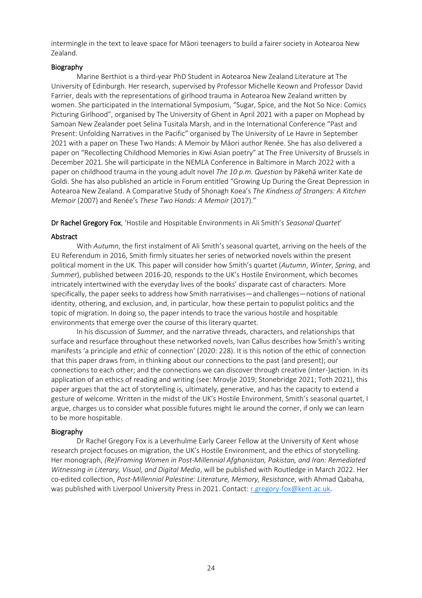intermingle in the text to leave space for Māori teenagers to build a fairer society in Aotearoa New Zealand.

# Biography

Marine Berthiot is a third-year PhD Student in Aotearoa New Zealand Literature at The University of Edinburgh. Her research, supervised by Professor Michelle Keown and Professor David Farrier, deals with the representations of girlhood trauma in Aotearoa New Zealand written by women. She participated in the International Symposium, "Sugar, Spice, and the Not So Nice: Comics Picturing Girlhood", organised by The University of Ghent in April 2021 with a paper on Mophead by Samoan New Zealander poet Selina Tusitala Marsh, and in the International Conference "Past and Present: Unfolding Narratives in the Pacific" organised by The University of Le Havre in September 2021 with a paper on These Two Hands: A Memoir by Māori author Renée. She has also delivered a paper on "Recollecting Childhood Memories in Kiwi Asian poetry" at The Free University of Brussels in December 2021. She will participate in the NEMLA Conference in Baltimore in March 2022 with a paper on childhood trauma in the young adult novel *The 10 p.m. Question* by Pākehā writer Kate de Goldi. She has also published an article in Forum entitled "Growing Up During the Great Depression in Aotearoa New Zealand. A Comparative Study of Shonagh Koea's *The Kindness of Strangers: A Kitchen Memoir* (2007) and Renée's *These Two Hands: A Memoir* (2017)."

Dr Rachel Gregory Fox, 'Hostile and Hospitable Environments in Ali Smith's *Seasonal Quartet*'

# Abstract

With *Autumn*, the first instalment of Ali Smith's seasonal quartet, arriving on the heels of the EU Referendum in 2016, Smith firmly situates her series of networked novels within the present political moment in the UK. This paper will consider how Smith's quartet (*Autumn*, *Winter*, *Spring*, and *Summer*), published between 2016-20, responds to the UK's Hostile Environment, which becomes intricately intertwined with the everyday lives of the books' disparate cast of characters. More specifically, the paper seeks to address how Smith narrativises—and challenges—notions of national identity, othering, and exclusion, and, in particular, how these pertain to populist politics and the topic of migration. In doing so, the paper intends to trace the various hostile and hospitable environments that emerge over the course of this literary quartet.

In his discussion of *Summer*, and the narrative threads, characters, and relationships that surface and resurface throughout these networked novels, Ivan Callus describes how Smith's writing manifests 'a principle and *ethic* of connection' (2020: 228). It is this notion of the ethic of connection that this paper draws from, in thinking about our connections to the past (and present); our connections to each other; and the connections we can discover through creative (inter-)action. In its application of an ethics of reading and writing (see: Mrovlje 2019; Stonebridge 2021; Toth 2021), this paper argues that the act of storytelling is, ultimately, generative, and has the capacity to extend a gesture of welcome. Written in the midst of the UK's Hostile Environment, Smith's seasonal quartet, I argue, charges us to consider what possible futures might lie around the corner, if only we can learn to be more hospitable.

# Biography

Dr Rachel Gregory Fox is a Leverhulme Early Career Fellow at the University of Kent whose research project focuses on migration, the UK's Hostile Environment, and the ethics of storytelling. Her monograph, *(Re)Framing Women in Post-Millennial Afghanistan, Pakistan, and Iran: Remediated Witnessing in Literary, Visual, and Digital Media*, will be published with Routledge in March 2022. Her co-edited collection, *Post-Millennial Palestine: Literature, Memory, Resistance*, with Ahmad Qabaha, was published with Liverpool University Press in 2021. Contact: [r.gregory-fox@kent.ac.uk.](mailto:r.gregory-fox@kent.ac.uk)